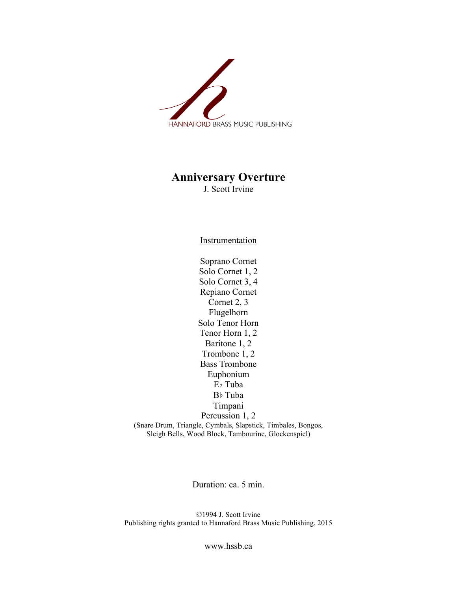

## **Anniversary Overture**

J. Scott Irvine

**Instrumentation** 

Soprano Cornet Solo Cornet 1, 2 Solo Cornet 3, 4 Repiano Cornet Cornet 2, 3 Flugelhorn Solo Tenor Horn Tenor Horn 1, 2 Baritone 1, 2 Trombone 1, 2 Bass Trombone Euphonium E♭ Tuba B♭ Tuba Timpani Percussion 1, 2 (Snare Drum, Triangle, Cymbals, Slapstick, Timbales, Bongos, Sleigh Bells, Wood Block, Tambourine, Glockenspiel)

Duration: ca. 5 min.

©1994 J. Scott Irvine Publishing rights granted to Hannaford Brass Music Publishing, 2015

www.hssb.ca